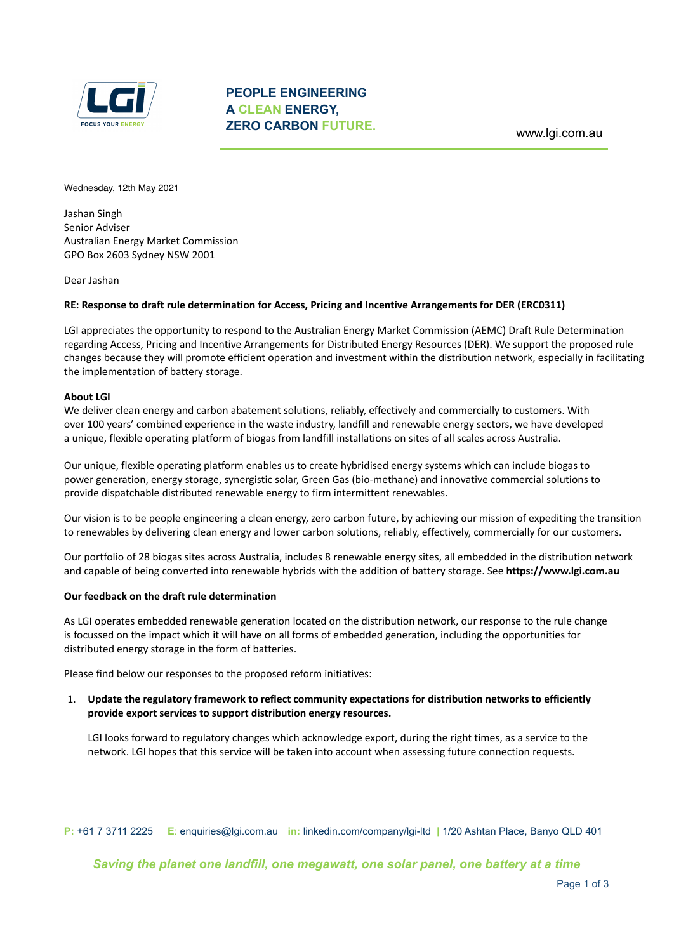

**Friday, 12 May 2021** Wednesday, 12th May 2021

Jashan Singh Senior Adviser Australian Energy Market Commission GPO Box 2603 Sydney NSW 2001

Dear Jashan

## **RE: Response to draft rule determination for Access, Pricing and Incentive Arrangements for DER (ERC0311)**

LGI appreciates the opportunity to respond to the Australian Energy Market Commission (AEMC) Draft Rule Determination regarding Access, Pricing and Incentive Arrangements for Distributed Energy Resources (DER). We support the proposed rule changes because they will promote efficient operation and investment within the distribution network, especially in facilitating the implementation of battery storage.

## **About LGI**

We deliver clean energy and carbon abatement solutions, reliably, effectively and commercially to customers. With over 100 years' combined experience in the waste industry, landfill and renewable energy sectors, we have developed a unique, flexible operating platform of biogas from landfill installations on sites of all scales across Australia.

Our unique, flexible operating platform enables us to create hybridised energy systems which can include biogas to power generation, energy storage, synergistic solar, Green Gas (bio-methane) and innovative commercial solutions to provide dispatchable distributed renewable energy to firm intermittent renewables.

Our vision is to be people engineering a clean energy, zero carbon future, by achieving our mission of expediting the transition to renewables by delivering clean energy and lower carbon solutions, reliably, effectively, commercially for our customers.

Our portfolio of 28 biogas sites across Australia, includes 8 renewable energy sites, all embedded in the distribution network and capable of being converted into renewable hybrids with the addition of battery storage. See **https://www.lgi.com.au**

#### **Our feedback on the draft rule determination**

As LGI operates embedded renewable generation located on the distribution network, our response to the rule change is focussed on the impact which it will have on all forms of embedded generation, including the opportunities for distributed energy storage in the form of batteries.

Please find below our responses to the proposed reform initiatives:

# 1. **Update the regulatory framework to reflect community expectations for distribution networks to efficiently provide export services to support distribution energy resources.**

LGI looks forward to regulatory changes which acknowledge export, during the right times, as a service to the network. LGI hopes that this service will be taken into account when assessing future connection requests.

**P:** +61 7 3711 2225 **E**: enquiries@lgi.com.au **in:** linkedin.com/company/lgi-ltd **|** 1/20 Ashtan Place, Banyo QLD 401

*Saving the planet one landfill, one megawatt, one solar panel, one battery at a time*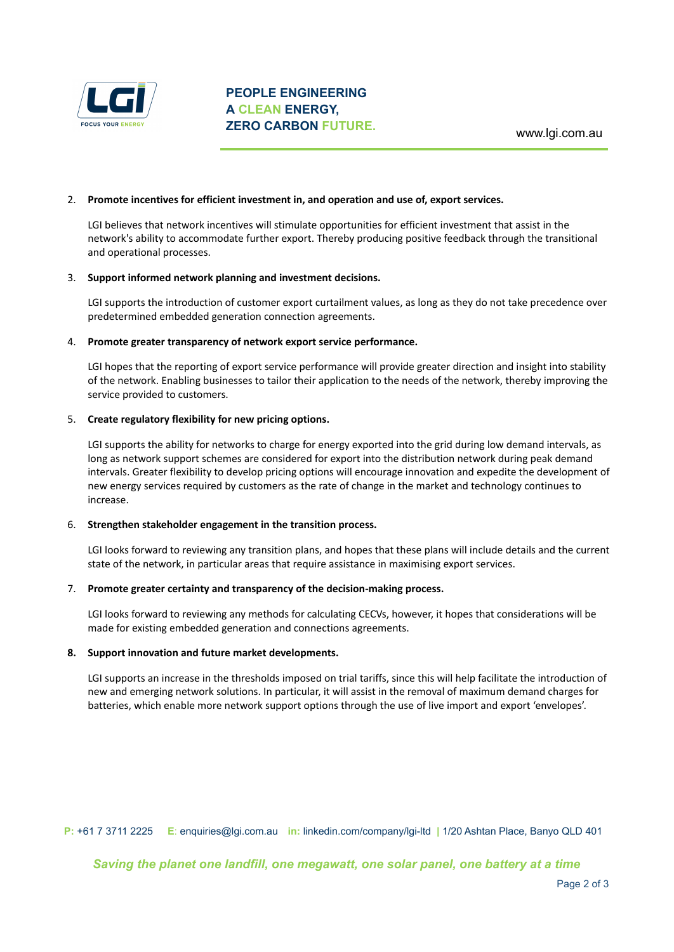

## 2. **Promote incentives for efficient investment in, and operation and use of, export services.**

LGI believes that network incentives will stimulate opportunities for efficient investment that assist in the network's ability to accommodate further export. Thereby producing positive feedback through the transitional and operational processes.

#### 3. **Support informed network planning and investment decisions.**

LGI supports the introduction of customer export curtailment values, as long as they do not take precedence over predetermined embedded generation connection agreements.

## 4. **Promote greater transparency of network export service performance.**

LGI hopes that the reporting of export service performance will provide greater direction and insight into stability of the network. Enabling businesses to tailor their application to the needs of the network, thereby improving the service provided to customers.

## 5. **Create regulatory flexibility for new pricing options.**

LGI supports the ability for networks to charge for energy exported into the grid during low demand intervals, as long as network support schemes are considered for export into the distribution network during peak demand intervals. Greater flexibility to develop pricing options will encourage innovation and expedite the development of new energy services required by customers as the rate of change in the market and technology continues to increase.

# 6. **Strengthen stakeholder engagement in the transition process.**

LGI looks forward to reviewing any transition plans, and hopes that these plans will include details and the current state of the network, in particular areas that require assistance in maximising export services.

#### 7. **Promote greater certainty and transparency of the decision-making process.**

LGI looks forward to reviewing any methods for calculating CECVs, however, it hopes that considerations will be made for existing embedded generation and connections agreements.

#### **8. Support innovation and future market developments.**

LGI supports an increase in the thresholds imposed on trial tariffs, since this will help facilitate the introduction of new and emerging network solutions. In particular, it will assist in the removal of maximum demand charges for batteries, which enable more network support options through the use of live import and export 'envelopes'.

**P:** +61 7 3711 2225 **E**: enquiries@lgi.com.au **in:** linkedin.com/company/lgi-ltd **|** 1/20 Ashtan Place, Banyo QLD 401

*Saving the planet one landfill, one megawatt, one solar panel, one battery at a time*